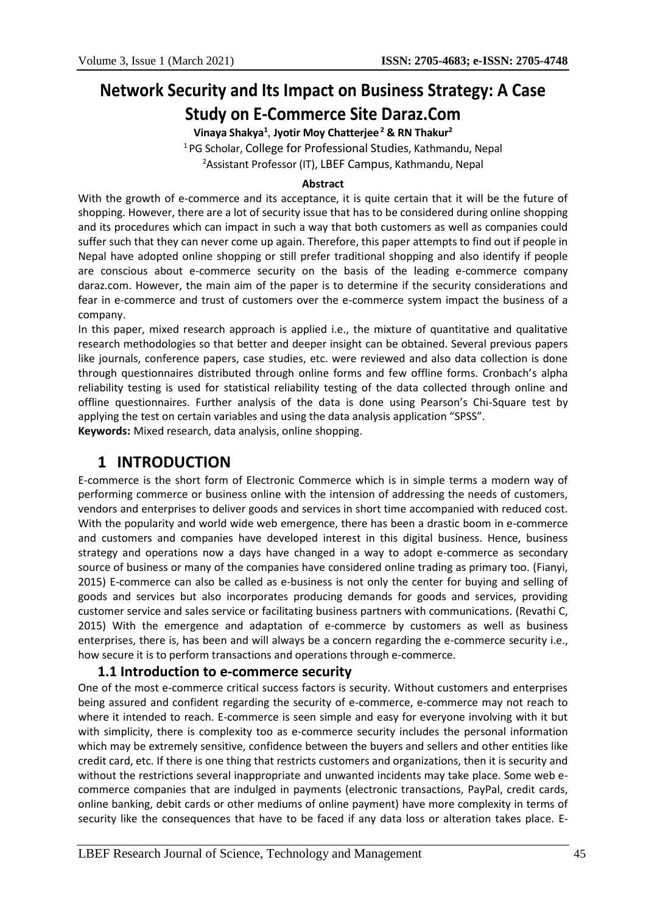# **Network Security and Its Impact on Business Strategy: A Case Study on E-Commerce Site Daraz.Com**

**Vinaya Shakya<sup>1</sup>** , **Jyotir Moy Chatterjee <sup>2</sup> & RN Thakur<sup>2</sup>**

<sup>1</sup>PG Scholar, College for Professional Studies, Kathmandu, Nepal <sup>2</sup>Assistant Professor (IT), LBEF Campus, Kathmandu, Nepal

#### **Abstract**

With the growth of e-commerce and its acceptance, it is quite certain that it will be the future of shopping. However, there are a lot of security issue that has to be considered during online shopping and its procedures which can impact in such a way that both customers as well as companies could suffer such that they can never come up again. Therefore, this paper attempts to find out if people in Nepal have adopted online shopping or still prefer traditional shopping and also identify if people are conscious about e-commerce security on the basis of the leading e-commerce company daraz.com. However, the main aim of the paper is to determine if the security considerations and fear in e-commerce and trust of customers over the e-commerce system impact the business of a company.

In this paper, mixed research approach is applied i.e., the mixture of quantitative and qualitative research methodologies so that better and deeper insight can be obtained. Several previous papers like journals, conference papers, case studies, etc. were reviewed and also data collection is done through questionnaires distributed through online forms and few offline forms. Cronbach's alpha reliability testing is used for statistical reliability testing of the data collected through online and offline questionnaires. Further analysis of the data is done using Pearson's Chi-Square test by applying the test on certain variables and using the data analysis application "SPSS".

**Keywords:** Mixed research, data analysis, online shopping.

# **1 INTRODUCTION**

E-commerce is the short form of Electronic Commerce which is in simple terms a modern way of performing commerce or business online with the intension of addressing the needs of customers, vendors and enterprises to deliver goods and services in short time accompanied with reduced cost. With the popularity and world wide web emergence, there has been a drastic boom in e-commerce and customers and companies have developed interest in this digital business. Hence, business strategy and operations now a days have changed in a way to adopt e-commerce as secondary source of business or many of the companies have considered online trading as primary too. (Fianyi, 2015) E-commerce can also be called as e-business is not only the center for buying and selling of goods and services but also incorporates producing demands for goods and services, providing customer service and sales service or facilitating business partners with communications. (Revathi C, 2015) With the emergence and adaptation of e-commerce by customers as well as business enterprises, there is, has been and will always be a concern regarding the e-commerce security i.e., how secure it is to perform transactions and operations through e-commerce.

# **1.1 Introduction to e-commerce security**

One of the most e-commerce critical success factors is security. Without customers and enterprises being assured and confident regarding the security of e-commerce, e-commerce may not reach to where it intended to reach. E-commerce is seen simple and easy for everyone involving with it but with simplicity, there is complexity too as e-commerce security includes the personal information which may be extremely sensitive, confidence between the buyers and sellers and other entities like credit card, etc. If there is one thing that restricts customers and organizations, then it is security and without the restrictions several inappropriate and unwanted incidents may take place. Some web ecommerce companies that are indulged in payments (electronic transactions, PayPal, credit cards, online banking, debit cards or other mediums of online payment) have more complexity in terms of security like the consequences that have to be faced if any data loss or alteration takes place. E-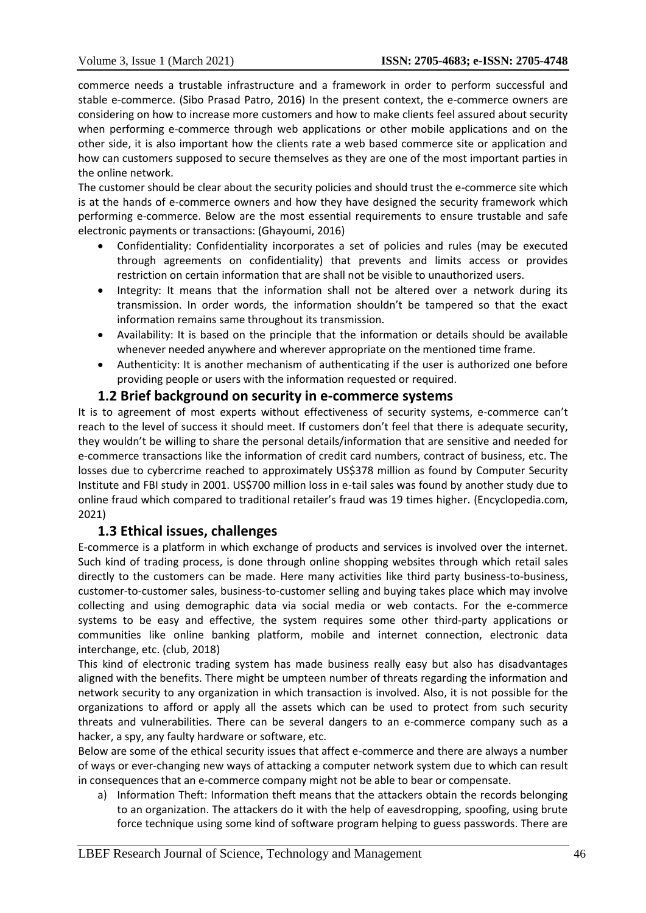commerce needs a trustable infrastructure and a framework in order to perform successful and stable e-commerce. (Sibo Prasad Patro, 2016) In the present context, the e-commerce owners are considering on how to increase more customers and how to make clients feel assured about security when performing e-commerce through web applications or other mobile applications and on the other side, it is also important how the clients rate a web based commerce site or application and how can customers supposed to secure themselves as they are one of the most important parties in the online network.

The customer should be clear about the security policies and should trust the e-commerce site which is at the hands of e-commerce owners and how they have designed the security framework which performing e-commerce. Below are the most essential requirements to ensure trustable and safe electronic payments or transactions: (Ghayoumi, 2016)

- Confidentiality: Confidentiality incorporates a set of policies and rules (may be executed through agreements on confidentiality) that prevents and limits access or provides restriction on certain information that are shall not be visible to unauthorized users.
- Integrity: It means that the information shall not be altered over a network during its transmission. In order words, the information shouldn't be tampered so that the exact information remains same throughout its transmission.
- Availability: It is based on the principle that the information or details should be available whenever needed anywhere and wherever appropriate on the mentioned time frame.
- Authenticity: It is another mechanism of authenticating if the user is authorized one before providing people or users with the information requested or required.

# **1.2 Brief background on security in e-commerce systems**

It is to agreement of most experts without effectiveness of security systems, e-commerce can't reach to the level of success it should meet. If customers don't feel that there is adequate security, they wouldn't be willing to share the personal details/information that are sensitive and needed for e-commerce transactions like the information of credit card numbers, contract of business, etc. The losses due to cybercrime reached to approximately US\$378 million as found by Computer Security Institute and FBI study in 2001. US\$700 million loss in e-tail sales was found by another study due to online fraud which compared to traditional retailer's fraud was 19 times higher. (Encyclopedia.com, 2021)

# **1.3 Ethical issues, challenges**

E-commerce is a platform in which exchange of products and services is involved over the internet. Such kind of trading process, is done through online shopping websites through which retail sales directly to the customers can be made. Here many activities like third party business-to-business, customer-to-customer sales, business-to-customer selling and buying takes place which may involve collecting and using demographic data via social media or web contacts. For the e-commerce systems to be easy and effective, the system requires some other third-party applications or communities like online banking platform, mobile and internet connection, electronic data interchange, etc. (club, 2018)

This kind of electronic trading system has made business really easy but also has disadvantages aligned with the benefits. There might be umpteen number of threats regarding the information and network security to any organization in which transaction is involved. Also, it is not possible for the organizations to afford or apply all the assets which can be used to protect from such security threats and vulnerabilities. There can be several dangers to an e-commerce company such as a hacker, a spy, any faulty hardware or software, etc.

Below are some of the ethical security issues that affect e-commerce and there are always a number of ways or ever-changing new ways of attacking a computer network system due to which can result in consequences that an e-commerce company might not be able to bear or compensate.

a) Information Theft: Information theft means that the attackers obtain the records belonging to an organization. The attackers do it with the help of eavesdropping, spoofing, using brute force technique using some kind of software program helping to guess passwords. There are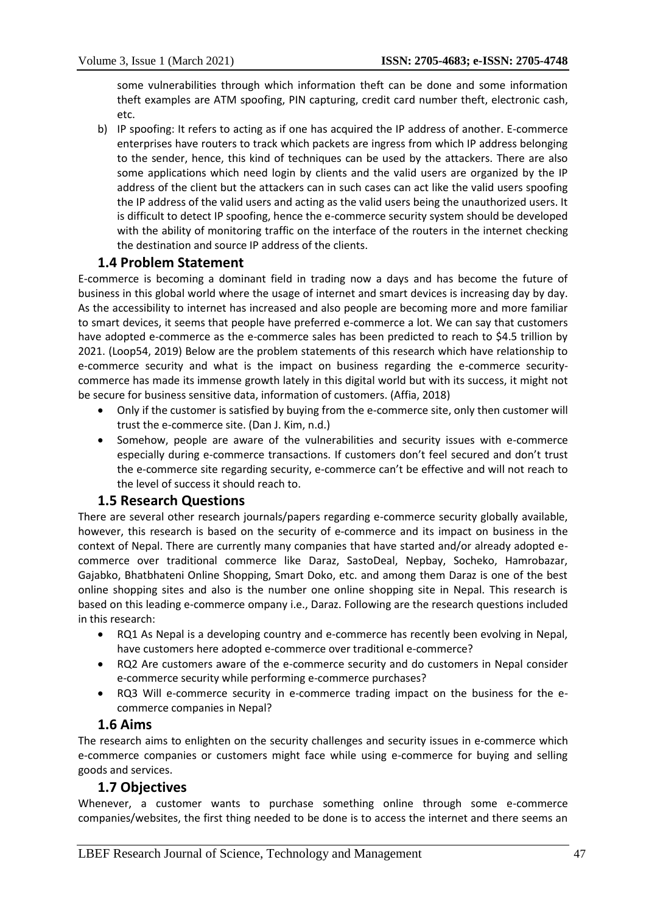some vulnerabilities through which information theft can be done and some information theft examples are ATM spoofing, PIN capturing, credit card number theft, electronic cash, etc.

b) IP spoofing: It refers to acting as if one has acquired the IP address of another. E-commerce enterprises have routers to track which packets are ingress from which IP address belonging to the sender, hence, this kind of techniques can be used by the attackers. There are also some applications which need login by clients and the valid users are organized by the IP address of the client but the attackers can in such cases can act like the valid users spoofing the IP address of the valid users and acting as the valid users being the unauthorized users. It is difficult to detect IP spoofing, hence the e-commerce security system should be developed with the ability of monitoring traffic on the interface of the routers in the internet checking the destination and source IP address of the clients.

# **1.4 Problem Statement**

E-commerce is becoming a dominant field in trading now a days and has become the future of business in this global world where the usage of internet and smart devices is increasing day by day. As the accessibility to internet has increased and also people are becoming more and more familiar to smart devices, it seems that people have preferred e-commerce a lot. We can say that customers have adopted e-commerce as the e-commerce sales has been predicted to reach to \$4.5 trillion by 2021. (Loop54, 2019) Below are the problem statements of this research which have relationship to e-commerce security and what is the impact on business regarding the e-commerce securitycommerce has made its immense growth lately in this digital world but with its success, it might not be secure for business sensitive data, information of customers. (Affia, 2018)

- Only if the customer is satisfied by buying from the e-commerce site, only then customer will trust the e-commerce site. (Dan J. Kim, n.d.)
- Somehow, people are aware of the vulnerabilities and security issues with e-commerce especially during e-commerce transactions. If customers don't feel secured and don't trust the e-commerce site regarding security, e-commerce can't be effective and will not reach to the level of success it should reach to.

# **1.5 Research Questions**

There are several other research journals/papers regarding e-commerce security globally available, however, this research is based on the security of e-commerce and its impact on business in the context of Nepal. There are currently many companies that have started and/or already adopted ecommerce over traditional commerce like Daraz, SastoDeal, Nepbay, Socheko, Hamrobazar, Gajabko, Bhatbhateni Online Shopping, Smart Doko, etc. and among them Daraz is one of the best online shopping sites and also is the number one online shopping site in Nepal. This research is based on this leading e-commerce ompany i.e., Daraz. Following are the research questions included in this research:

- RQ1 As Nepal is a developing country and e-commerce has recently been evolving in Nepal, have customers here adopted e-commerce over traditional e-commerce?
- RQ2 Are customers aware of the e-commerce security and do customers in Nepal consider e-commerce security while performing e-commerce purchases?
- RQ3 Will e-commerce security in e-commerce trading impact on the business for the ecommerce companies in Nepal?

# **1.6 Aims**

The research aims to enlighten on the security challenges and security issues in e-commerce which e-commerce companies or customers might face while using e-commerce for buying and selling goods and services.

# **1.7 Objectives**

Whenever, a customer wants to purchase something online through some e-commerce companies/websites, the first thing needed to be done is to access the internet and there seems an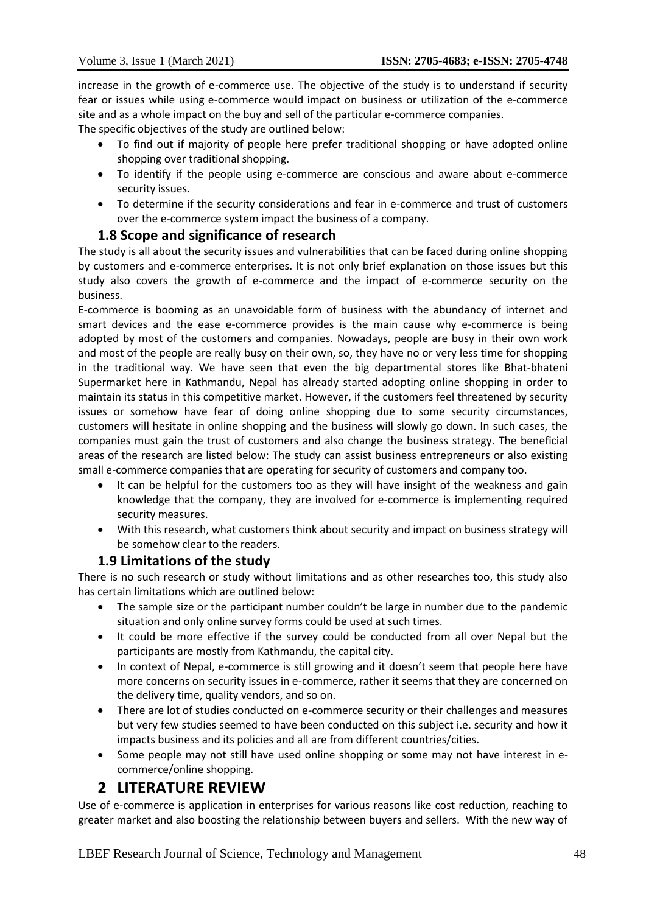increase in the growth of e-commerce use. The objective of the study is to understand if security fear or issues while using e-commerce would impact on business or utilization of the e-commerce site and as a whole impact on the buy and sell of the particular e-commerce companies. The specific objectives of the study are outlined below:

- To find out if majority of people here prefer traditional shopping or have adopted online shopping over traditional shopping.
- To identify if the people using e-commerce are conscious and aware about e-commerce security issues.
- To determine if the security considerations and fear in e-commerce and trust of customers over the e-commerce system impact the business of a company.

# **1.8 Scope and significance of research**

The study is all about the security issues and vulnerabilities that can be faced during online shopping by customers and e-commerce enterprises. It is not only brief explanation on those issues but this study also covers the growth of e-commerce and the impact of e-commerce security on the business.

E-commerce is booming as an unavoidable form of business with the abundancy of internet and smart devices and the ease e-commerce provides is the main cause why e-commerce is being adopted by most of the customers and companies. Nowadays, people are busy in their own work and most of the people are really busy on their own, so, they have no or very less time for shopping in the traditional way. We have seen that even the big departmental stores like Bhat-bhateni Supermarket here in Kathmandu, Nepal has already started adopting online shopping in order to maintain its status in this competitive market. However, if the customers feel threatened by security issues or somehow have fear of doing online shopping due to some security circumstances, customers will hesitate in online shopping and the business will slowly go down. In such cases, the companies must gain the trust of customers and also change the business strategy. The beneficial areas of the research are listed below: The study can assist business entrepreneurs or also existing small e-commerce companies that are operating for security of customers and company too.

- It can be helpful for the customers too as they will have insight of the weakness and gain knowledge that the company, they are involved for e-commerce is implementing required security measures.
- With this research, what customers think about security and impact on business strategy will be somehow clear to the readers.

# **1.9 Limitations of the study**

There is no such research or study without limitations and as other researches too, this study also has certain limitations which are outlined below:

- The sample size or the participant number couldn't be large in number due to the pandemic situation and only online survey forms could be used at such times.
- It could be more effective if the survey could be conducted from all over Nepal but the participants are mostly from Kathmandu, the capital city.
- In context of Nepal, e-commerce is still growing and it doesn't seem that people here have more concerns on security issues in e-commerce, rather it seems that they are concerned on the delivery time, quality vendors, and so on.
- There are lot of studies conducted on e-commerce security or their challenges and measures but very few studies seemed to have been conducted on this subject i.e. security and how it impacts business and its policies and all are from different countries/cities.
- Some people may not still have used online shopping or some may not have interest in ecommerce/online shopping.

# **2 LITERATURE REVIEW**

Use of e-commerce is application in enterprises for various reasons like cost reduction, reaching to greater market and also boosting the relationship between buyers and sellers. With the new way of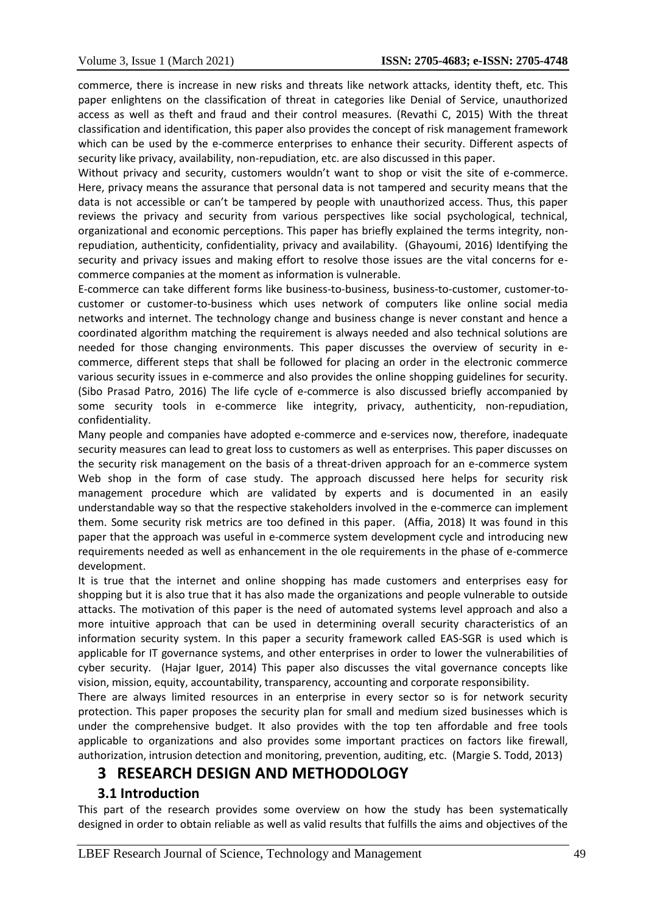commerce, there is increase in new risks and threats like network attacks, identity theft, etc. This paper enlightens on the classification of threat in categories like Denial of Service, unauthorized access as well as theft and fraud and their control measures. (Revathi C, 2015) With the threat classification and identification, this paper also provides the concept of risk management framework which can be used by the e-commerce enterprises to enhance their security. Different aspects of security like privacy, availability, non-repudiation, etc. are also discussed in this paper.

Without privacy and security, customers wouldn't want to shop or visit the site of e-commerce. Here, privacy means the assurance that personal data is not tampered and security means that the data is not accessible or can't be tampered by people with unauthorized access. Thus, this paper reviews the privacy and security from various perspectives like social psychological, technical, organizational and economic perceptions. This paper has briefly explained the terms integrity, nonrepudiation, authenticity, confidentiality, privacy and availability. (Ghayoumi, 2016) Identifying the security and privacy issues and making effort to resolve those issues are the vital concerns for ecommerce companies at the moment as information is vulnerable.

E-commerce can take different forms like business-to-business, business-to-customer, customer-tocustomer or customer-to-business which uses network of computers like online social media networks and internet. The technology change and business change is never constant and hence a coordinated algorithm matching the requirement is always needed and also technical solutions are needed for those changing environments. This paper discusses the overview of security in ecommerce, different steps that shall be followed for placing an order in the electronic commerce various security issues in e-commerce and also provides the online shopping guidelines for security. (Sibo Prasad Patro, 2016) The life cycle of e-commerce is also discussed briefly accompanied by some security tools in e-commerce like integrity, privacy, authenticity, non-repudiation, confidentiality.

Many people and companies have adopted e-commerce and e-services now, therefore, inadequate security measures can lead to great loss to customers as well as enterprises. This paper discusses on the security risk management on the basis of a threat-driven approach for an e-commerce system Web shop in the form of case study. The approach discussed here helps for security risk management procedure which are validated by experts and is documented in an easily understandable way so that the respective stakeholders involved in the e-commerce can implement them. Some security risk metrics are too defined in this paper. (Affia, 2018) It was found in this paper that the approach was useful in e-commerce system development cycle and introducing new requirements needed as well as enhancement in the ole requirements in the phase of e-commerce development.

It is true that the internet and online shopping has made customers and enterprises easy for shopping but it is also true that it has also made the organizations and people vulnerable to outside attacks. The motivation of this paper is the need of automated systems level approach and also a more intuitive approach that can be used in determining overall security characteristics of an information security system. In this paper a security framework called EAS-SGR is used which is applicable for IT governance systems, and other enterprises in order to lower the vulnerabilities of cyber security. (Hajar Iguer, 2014) This paper also discusses the vital governance concepts like vision, mission, equity, accountability, transparency, accounting and corporate responsibility.

There are always limited resources in an enterprise in every sector so is for network security protection. This paper proposes the security plan for small and medium sized businesses which is under the comprehensive budget. It also provides with the top ten affordable and free tools applicable to organizations and also provides some important practices on factors like firewall, authorization, intrusion detection and monitoring, prevention, auditing, etc. (Margie S. Todd, 2013)

# **3 RESEARCH DESIGN AND METHODOLOGY**

# **3.1 Introduction**

This part of the research provides some overview on how the study has been systematically designed in order to obtain reliable as well as valid results that fulfills the aims and objectives of the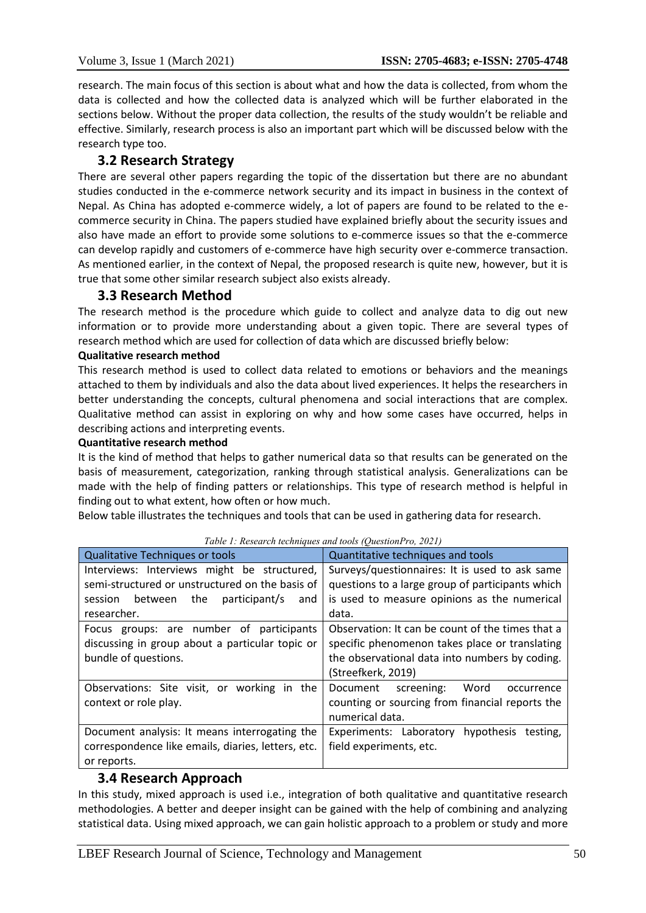research. The main focus of this section is about what and how the data is collected, from whom the data is collected and how the collected data is analyzed which will be further elaborated in the sections below. Without the proper data collection, the results of the study wouldn't be reliable and effective. Similarly, research process is also an important part which will be discussed below with the research type too.

# **3.2 Research Strategy**

There are several other papers regarding the topic of the dissertation but there are no abundant studies conducted in the e-commerce network security and its impact in business in the context of Nepal. As China has adopted e-commerce widely, a lot of papers are found to be related to the ecommerce security in China. The papers studied have explained briefly about the security issues and also have made an effort to provide some solutions to e-commerce issues so that the e-commerce can develop rapidly and customers of e-commerce have high security over e-commerce transaction. As mentioned earlier, in the context of Nepal, the proposed research is quite new, however, but it is true that some other similar research subject also exists already.

# **3.3 Research Method**

The research method is the procedure which guide to collect and analyze data to dig out new information or to provide more understanding about a given topic. There are several types of research method which are used for collection of data which are discussed briefly below:

#### **Qualitative research method**

This research method is used to collect data related to emotions or behaviors and the meanings attached to them by individuals and also the data about lived experiences. It helps the researchers in better understanding the concepts, cultural phenomena and social interactions that are complex. Qualitative method can assist in exploring on why and how some cases have occurred, helps in describing actions and interpreting events.

#### **Quantitative research method**

It is the kind of method that helps to gather numerical data so that results can be generated on the basis of measurement, categorization, ranking through statistical analysis. Generalizations can be made with the help of finding patters or relationships. This type of research method is helpful in finding out to what extent, how often or how much.

Below table illustrates the techniques and tools that can be used in gathering data for research.

| Tubic 1. Research techniques and tools (Question T0, 2021) |                                                  |  |  |
|------------------------------------------------------------|--------------------------------------------------|--|--|
| Qualitative Techniques or tools                            | Quantitative techniques and tools                |  |  |
| Interviews: Interviews might be structured,                | Surveys/questionnaires: It is used to ask same   |  |  |
| semi-structured or unstructured on the basis of            | questions to a large group of participants which |  |  |
| session between the<br>participant/s<br>and                | is used to measure opinions as the numerical     |  |  |
| researcher.                                                | data.                                            |  |  |
| Focus groups: are number of participants                   | Observation: It can be count of the times that a |  |  |
| discussing in group about a particular topic or            | specific phenomenon takes place or translating   |  |  |
| bundle of questions.                                       | the observational data into numbers by coding.   |  |  |
|                                                            | (Streefkerk, 2019)                               |  |  |
| Observations: Site visit, or working in the                | Word<br>Document screening:<br>occurrence        |  |  |
| context or role play.                                      | counting or sourcing from financial reports the  |  |  |
|                                                            | numerical data.                                  |  |  |
| Document analysis: It means interrogating the              | Experiments: Laboratory hypothesis<br>testing,   |  |  |
| correspondence like emails, diaries, letters, etc.         | field experiments, etc.                          |  |  |
| or reports.                                                |                                                  |  |  |

#### *Table 1: Research techniques and tools (QuestionPro, 2021)*

# **3.4 Research Approach**

In this study, mixed approach is used i.e., integration of both qualitative and quantitative research methodologies. A better and deeper insight can be gained with the help of combining and analyzing statistical data. Using mixed approach, we can gain holistic approach to a problem or study and more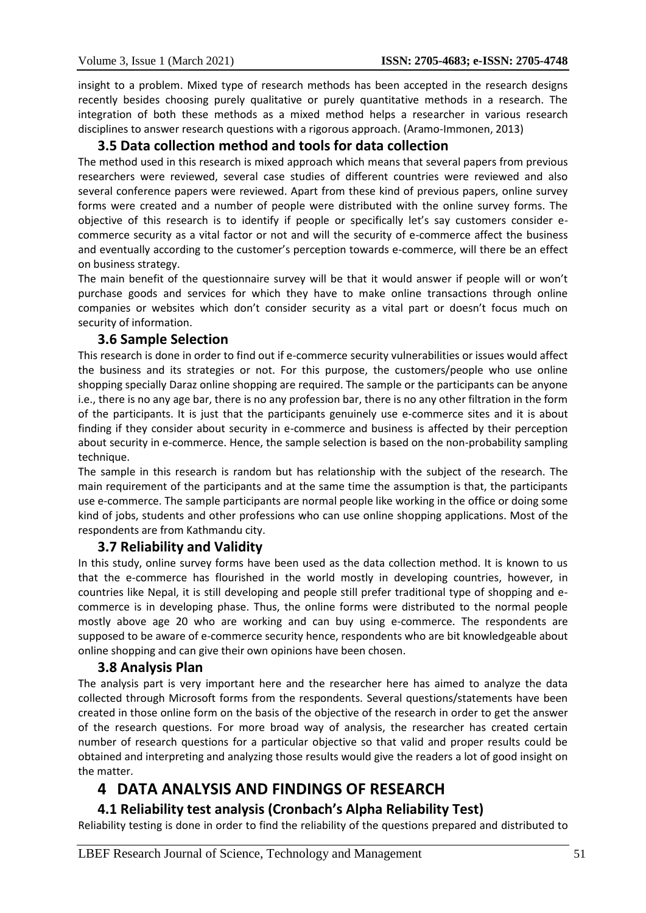insight to a problem. Mixed type of research methods has been accepted in the research designs recently besides choosing purely qualitative or purely quantitative methods in a research. The integration of both these methods as a mixed method helps a researcher in various research disciplines to answer research questions with a rigorous approach. (Aramo-Immonen, 2013)

# **3.5 Data collection method and tools for data collection**

The method used in this research is mixed approach which means that several papers from previous researchers were reviewed, several case studies of different countries were reviewed and also several conference papers were reviewed. Apart from these kind of previous papers, online survey forms were created and a number of people were distributed with the online survey forms. The objective of this research is to identify if people or specifically let's say customers consider ecommerce security as a vital factor or not and will the security of e-commerce affect the business and eventually according to the customer's perception towards e-commerce, will there be an effect on business strategy.

The main benefit of the questionnaire survey will be that it would answer if people will or won't purchase goods and services for which they have to make online transactions through online companies or websites which don't consider security as a vital part or doesn't focus much on security of information.

#### **3.6 Sample Selection**

This research is done in order to find out if e-commerce security vulnerabilities or issues would affect the business and its strategies or not. For this purpose, the customers/people who use online shopping specially Daraz online shopping are required. The sample or the participants can be anyone i.e., there is no any age bar, there is no any profession bar, there is no any other filtration in the form of the participants. It is just that the participants genuinely use e-commerce sites and it is about finding if they consider about security in e-commerce and business is affected by their perception about security in e-commerce. Hence, the sample selection is based on the non-probability sampling technique.

The sample in this research is random but has relationship with the subject of the research. The main requirement of the participants and at the same time the assumption is that, the participants use e-commerce. The sample participants are normal people like working in the office or doing some kind of jobs, students and other professions who can use online shopping applications. Most of the respondents are from Kathmandu city.

# **3.7 Reliability and Validity**

In this study, online survey forms have been used as the data collection method. It is known to us that the e-commerce has flourished in the world mostly in developing countries, however, in countries like Nepal, it is still developing and people still prefer traditional type of shopping and ecommerce is in developing phase. Thus, the online forms were distributed to the normal people mostly above age 20 who are working and can buy using e-commerce. The respondents are supposed to be aware of e-commerce security hence, respondents who are bit knowledgeable about online shopping and can give their own opinions have been chosen.

# **3.8 Analysis Plan**

The analysis part is very important here and the researcher here has aimed to analyze the data collected through Microsoft forms from the respondents. Several questions/statements have been created in those online form on the basis of the objective of the research in order to get the answer of the research questions. For more broad way of analysis, the researcher has created certain number of research questions for a particular objective so that valid and proper results could be obtained and interpreting and analyzing those results would give the readers a lot of good insight on the matter.

# **4 DATA ANALYSIS AND FINDINGS OF RESEARCH**

# **4.1 Reliability test analysis (Cronbach's Alpha Reliability Test)**

Reliability testing is done in order to find the reliability of the questions prepared and distributed to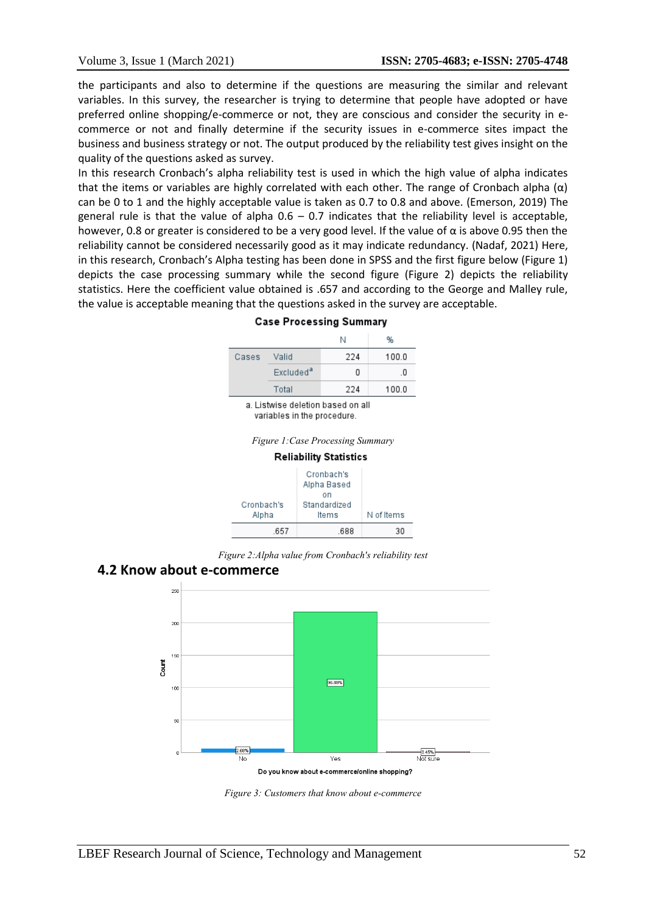the participants and also to determine if the questions are measuring the similar and relevant variables. In this survey, the researcher is trying to determine that people have adopted or have preferred online shopping/e-commerce or not, they are conscious and consider the security in ecommerce or not and finally determine if the security issues in e-commerce sites impact the business and business strategy or not. The output produced by the reliability test gives insight on the quality of the questions asked as survey.

In this research Cronbach's alpha reliability test is used in which the high value of alpha indicates that the items or variables are highly correlated with each other. The range of Cronbach alpha  $(\alpha)$ can be 0 to 1 and the highly acceptable value is taken as 0.7 to 0.8 and above. (Emerson, 2019) The general rule is that the value of alpha  $0.6 - 0.7$  indicates that the reliability level is acceptable, however, 0.8 or greater is considered to be a very good level. If the value of  $\alpha$  is above 0.95 then the reliability cannot be considered necessarily good as it may indicate redundancy. (Nadaf, 2021) Here, in this research, Cronbach's Alpha testing has been done in SPSS and the first figure below (Figure 1) depicts the case processing summary while the second figure (Figure 2) depicts the reliability statistics. Here the coefficient value obtained is .657 and according to the George and Malley rule, the value is acceptable meaning that the questions asked in the survey are acceptable.

| Cases                             | Valid                 | 224 | 100.0 |
|-----------------------------------|-----------------------|-----|-------|
|                                   | Excluded <sup>a</sup> |     | -0    |
|                                   | Total                 | 224 | 100.0 |
| a. Listwise deletion based on all |                       |     |       |

#### **Case Processing Summary**

variables in the procedure.





*Figure 2:Alpha value from Cronbach's reliability test*

# **4.2 Know about e-commerce**



*Figure 3: Customers that know about e-commerce*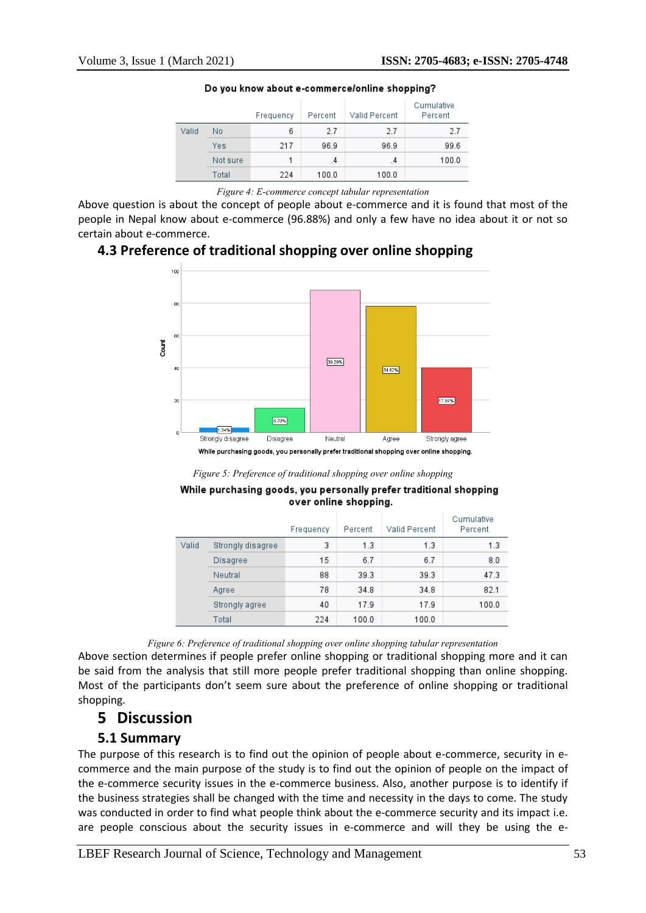|       |          | Frequency | Percent | Valid Percent | Cumulative<br>Percent |
|-------|----------|-----------|---------|---------------|-----------------------|
| Valid | No       | 6         | 2.7     | 2.7           | 2.7                   |
|       | Yes      | 217       | 96.9    | 96.9          | 99.6                  |
|       | Not sure |           | $\cdot$ | $\cdot$       | 100.0                 |
|       | Total    | 224       | 100.0   | 100.0         |                       |

#### Do you know about e-commerce/online shopping?

Above question is about the concept of people about e-commerce and it is found that most of the people in Nepal know about e-commerce (96.88%) and only a few have no idea about it or not so certain about e-commerce.

# **4.3 Preference of traditional shopping over online shopping**



*Figure 5: Preference of traditional shopping over online shopping*

#### While purchasing goods, you personally prefer traditional shopping over online shopping.

|       |                   | Frequency | Percent | Valid Percent | Cumulative<br>Percent |
|-------|-------------------|-----------|---------|---------------|-----------------------|
| Valid | Strongly disagree | 3         | 1.3     | 1.3           | 1.3                   |
|       | <b>Disagree</b>   | 15        | 6.7     | 6.7           | 8.0                   |
|       | Neutral           | 88        | 39.3    | 39.3          | 47.3                  |
|       | Agree             | 78        | 34.8    | 34.8          | 82.1                  |
|       | Strongly agree    | 40        | 17.9    | 17.9          | 100.0                 |
|       | Total             | 224       | 100.0   | 100.0         |                       |

*Figure 6: Preference of traditional shopping over online shopping tabular representation*

Above section determines if people prefer online shopping or traditional shopping more and it can be said from the analysis that still more people prefer traditional shopping than online shopping. Most of the participants don't seem sure about the preference of online shopping or traditional shopping.

# **5 Discussion**

# **5.1 Summary**

The purpose of this research is to find out the opinion of people about e-commerce, security in ecommerce and the main purpose of the study is to find out the opinion of people on the impact of the e-commerce security issues in the e-commerce business. Also, another purpose is to identify if the business strategies shall be changed with the time and necessity in the days to come. The study was conducted in order to find what people think about the e-commerce security and its impact i.e. are people conscious about the security issues in e-commerce and will they be using the e-

*Figure 4: E-commerce concept tabular representation*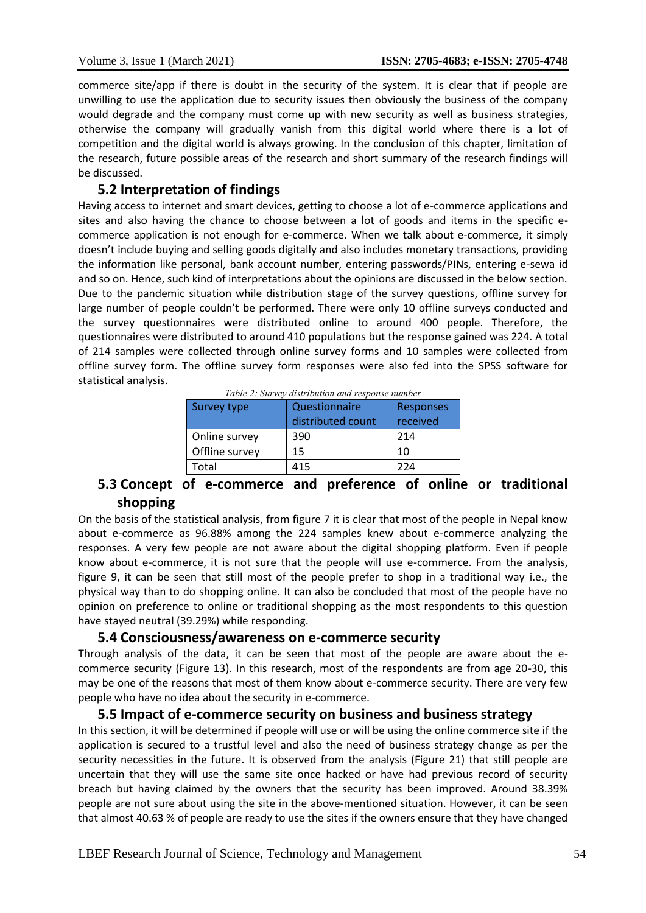commerce site/app if there is doubt in the security of the system. It is clear that if people are unwilling to use the application due to security issues then obviously the business of the company would degrade and the company must come up with new security as well as business strategies, otherwise the company will gradually vanish from this digital world where there is a lot of competition and the digital world is always growing. In the conclusion of this chapter, limitation of the research, future possible areas of the research and short summary of the research findings will be discussed.

# **5.2 Interpretation of findings**

Having access to internet and smart devices, getting to choose a lot of e-commerce applications and sites and also having the chance to choose between a lot of goods and items in the specific ecommerce application is not enough for e-commerce. When we talk about e-commerce, it simply doesn't include buying and selling goods digitally and also includes monetary transactions, providing the information like personal, bank account number, entering passwords/PINs, entering e-sewa id and so on. Hence, such kind of interpretations about the opinions are discussed in the below section. Due to the pandemic situation while distribution stage of the survey questions, offline survey for large number of people couldn't be performed. There were only 10 offline surveys conducted and the survey questionnaires were distributed online to around 400 people. Therefore, the questionnaires were distributed to around 410 populations but the response gained was 224. A total of 214 samples were collected through online survey forms and 10 samples were collected from offline survey form. The offline survey form responses were also fed into the SPSS software for statistical analysis.

|  |  | Table 2: Survey distribution and response number |
|--|--|--------------------------------------------------|
|  |  |                                                  |

| Survey type    | Questionnaire<br>distributed count | <b>Responses</b><br>received |
|----------------|------------------------------------|------------------------------|
| Online survey  | 390                                | 214                          |
| Offline survey | 15                                 | 10                           |
| Total          | 415                                | 774                          |

# **5.3 Concept of e-commerce and preference of online or traditional shopping**

On the basis of the statistical analysis, from figure 7 it is clear that most of the people in Nepal know about e-commerce as 96.88% among the 224 samples knew about e-commerce analyzing the responses. A very few people are not aware about the digital shopping platform. Even if people know about e-commerce, it is not sure that the people will use e-commerce. From the analysis, figure 9, it can be seen that still most of the people prefer to shop in a traditional way i.e., the physical way than to do shopping online. It can also be concluded that most of the people have no opinion on preference to online or traditional shopping as the most respondents to this question have stayed neutral (39.29%) while responding.

# **5.4 Consciousness/awareness on e-commerce security**

Through analysis of the data, it can be seen that most of the people are aware about the ecommerce security (Figure 13). In this research, most of the respondents are from age 20-30, this may be one of the reasons that most of them know about e-commerce security. There are very few people who have no idea about the security in e-commerce.

# **5.5 Impact of e-commerce security on business and business strategy**

In this section, it will be determined if people will use or will be using the online commerce site if the application is secured to a trustful level and also the need of business strategy change as per the security necessities in the future. It is observed from the analysis (Figure 21) that still people are uncertain that they will use the same site once hacked or have had previous record of security breach but having claimed by the owners that the security has been improved. Around 38.39% people are not sure about using the site in the above-mentioned situation. However, it can be seen that almost 40.63 % of people are ready to use the sites if the owners ensure that they have changed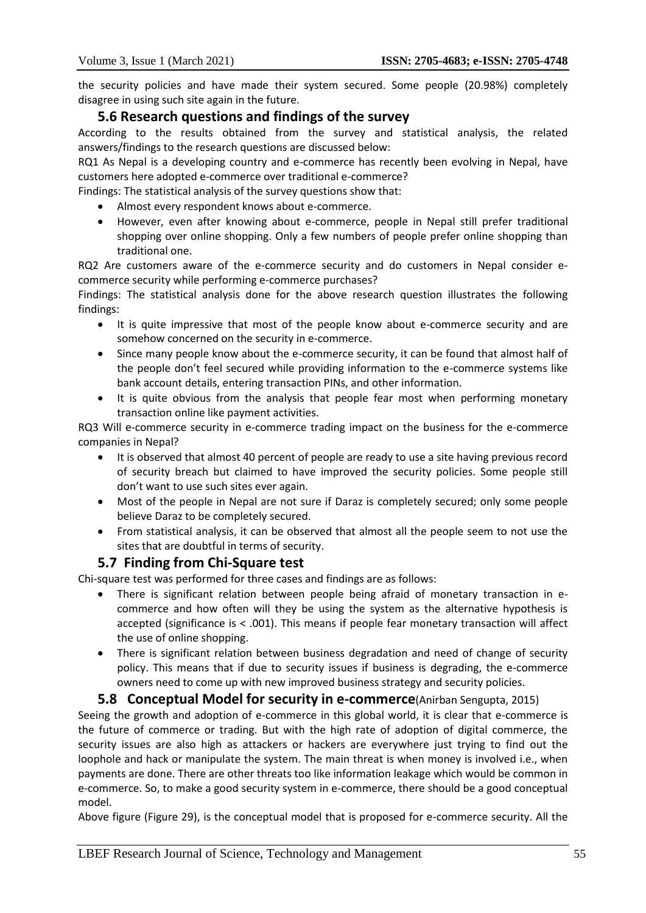the security policies and have made their system secured. Some people (20.98%) completely disagree in using such site again in the future.

# **5.6 Research questions and findings of the survey**

According to the results obtained from the survey and statistical analysis, the related answers/findings to the research questions are discussed below:

RQ1 As Nepal is a developing country and e-commerce has recently been evolving in Nepal, have customers here adopted e-commerce over traditional e-commerce?

Findings: The statistical analysis of the survey questions show that:

- Almost every respondent knows about e-commerce.
- However, even after knowing about e-commerce, people in Nepal still prefer traditional shopping over online shopping. Only a few numbers of people prefer online shopping than traditional one.

RQ2 Are customers aware of the e-commerce security and do customers in Nepal consider ecommerce security while performing e-commerce purchases?

Findings: The statistical analysis done for the above research question illustrates the following findings:

- It is quite impressive that most of the people know about e-commerce security and are somehow concerned on the security in e-commerce.
- Since many people know about the e-commerce security, it can be found that almost half of the people don't feel secured while providing information to the e-commerce systems like bank account details, entering transaction PINs, and other information.
- It is quite obvious from the analysis that people fear most when performing monetary transaction online like payment activities.

RQ3 Will e-commerce security in e-commerce trading impact on the business for the e-commerce companies in Nepal?

- It is observed that almost 40 percent of people are ready to use a site having previous record of security breach but claimed to have improved the security policies. Some people still don't want to use such sites ever again.
- Most of the people in Nepal are not sure if Daraz is completely secured; only some people believe Daraz to be completely secured.
- From statistical analysis, it can be observed that almost all the people seem to not use the sites that are doubtful in terms of security.

# **5.7 Finding from Chi-Square test**

Chi-square test was performed for three cases and findings are as follows:

- There is significant relation between people being afraid of monetary transaction in ecommerce and how often will they be using the system as the alternative hypothesis is accepted (significance is < .001). This means if people fear monetary transaction will affect the use of online shopping.
- There is significant relation between business degradation and need of change of security policy. This means that if due to security issues if business is degrading, the e-commerce owners need to come up with new improved business strategy and security policies.

# **5.8 Conceptual Model for security in e-commerce**(Anirban Sengupta, 2015)

Seeing the growth and adoption of e-commerce in this global world, it is clear that e-commerce is the future of commerce or trading. But with the high rate of adoption of digital commerce, the security issues are also high as attackers or hackers are everywhere just trying to find out the loophole and hack or manipulate the system. The main threat is when money is involved i.e., when payments are done. There are other threats too like information leakage which would be common in e-commerce. So, to make a good security system in e-commerce, there should be a good conceptual model.

Above figure (Figure 29), is the conceptual model that is proposed for e-commerce security. All the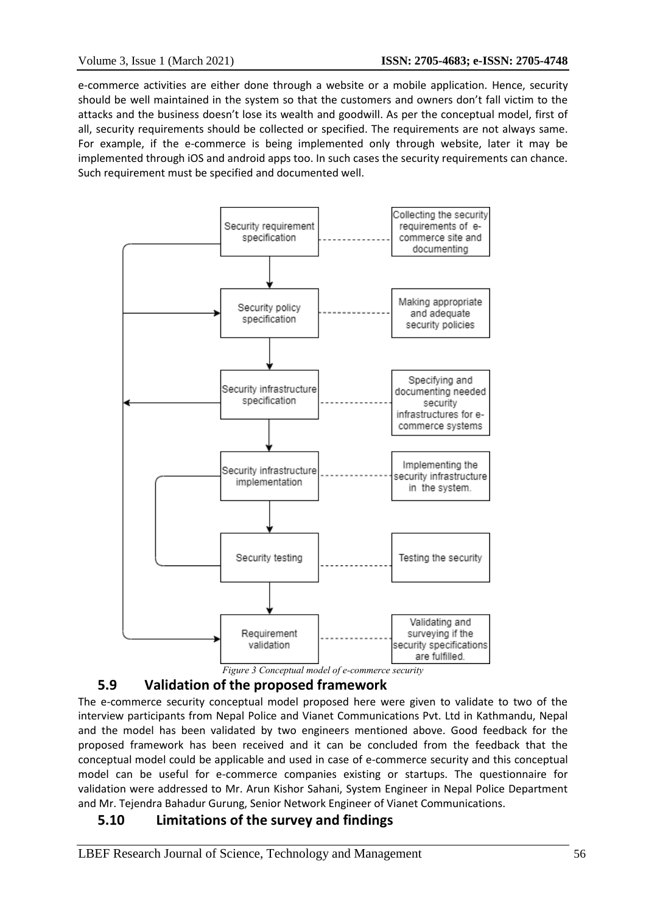e-commerce activities are either done through a website or a mobile application. Hence, security should be well maintained in the system so that the customers and owners don't fall victim to the attacks and the business doesn't lose its wealth and goodwill. As per the conceptual model, first of all, security requirements should be collected or specified. The requirements are not always same. For example, if the e-commerce is being implemented only through website, later it may be implemented through iOS and android apps too. In such cases the security requirements can chance. Such requirement must be specified and documented well.



# **5.9 Validation of the proposed framework**

The e-commerce security conceptual model proposed here were given to validate to two of the interview participants from Nepal Police and Vianet Communications Pvt. Ltd in Kathmandu, Nepal and the model has been validated by two engineers mentioned above. Good feedback for the proposed framework has been received and it can be concluded from the feedback that the conceptual model could be applicable and used in case of e-commerce security and this conceptual model can be useful for e-commerce companies existing or startups. The questionnaire for validation were addressed to Mr. Arun Kishor Sahani, System Engineer in Nepal Police Department and Mr. Tejendra Bahadur Gurung, Senior Network Engineer of Vianet Communications.

# **5.10 Limitations of the survey and findings**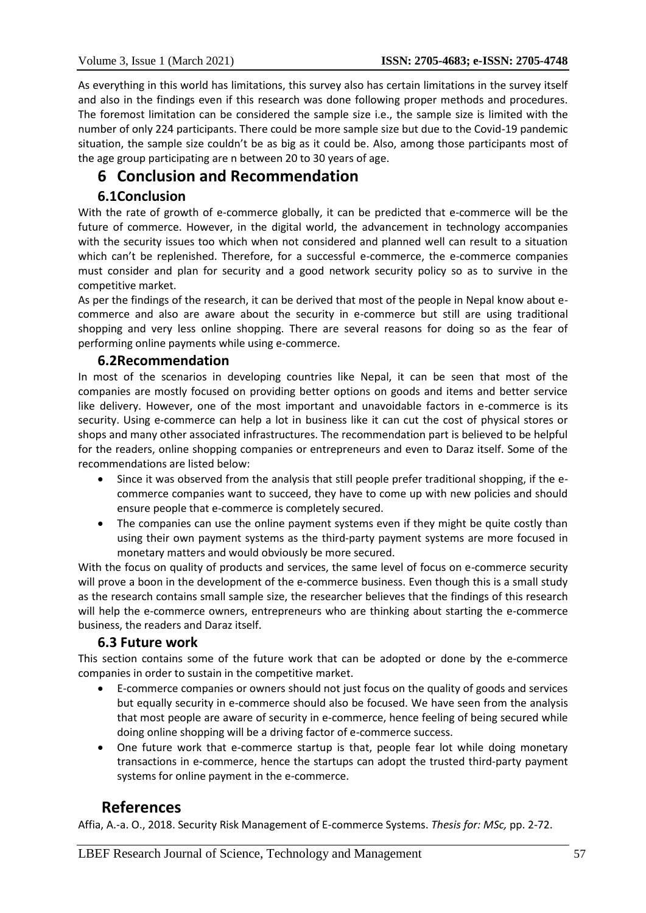As everything in this world has limitations, this survey also has certain limitations in the survey itself and also in the findings even if this research was done following proper methods and procedures. The foremost limitation can be considered the sample size i.e., the sample size is limited with the number of only 224 participants. There could be more sample size but due to the Covid-19 pandemic situation, the sample size couldn't be as big as it could be. Also, among those participants most of the age group participating are n between 20 to 30 years of age.

# **6 Conclusion and Recommendation**

# **6.1Conclusion**

With the rate of growth of e-commerce globally, it can be predicted that e-commerce will be the future of commerce. However, in the digital world, the advancement in technology accompanies with the security issues too which when not considered and planned well can result to a situation which can't be replenished. Therefore, for a successful e-commerce, the e-commerce companies must consider and plan for security and a good network security policy so as to survive in the competitive market.

As per the findings of the research, it can be derived that most of the people in Nepal know about ecommerce and also are aware about the security in e-commerce but still are using traditional shopping and very less online shopping. There are several reasons for doing so as the fear of performing online payments while using e-commerce.

# **6.2Recommendation**

In most of the scenarios in developing countries like Nepal, it can be seen that most of the companies are mostly focused on providing better options on goods and items and better service like delivery. However, one of the most important and unavoidable factors in e-commerce is its security. Using e-commerce can help a lot in business like it can cut the cost of physical stores or shops and many other associated infrastructures. The recommendation part is believed to be helpful for the readers, online shopping companies or entrepreneurs and even to Daraz itself. Some of the recommendations are listed below:

- Since it was observed from the analysis that still people prefer traditional shopping, if the ecommerce companies want to succeed, they have to come up with new policies and should ensure people that e-commerce is completely secured.
- The companies can use the online payment systems even if they might be quite costly than using their own payment systems as the third-party payment systems are more focused in monetary matters and would obviously be more secured.

With the focus on quality of products and services, the same level of focus on e-commerce security will prove a boon in the development of the e-commerce business. Even though this is a small study as the research contains small sample size, the researcher believes that the findings of this research will help the e-commerce owners, entrepreneurs who are thinking about starting the e-commerce business, the readers and Daraz itself.

#### **6.3 Future work**

This section contains some of the future work that can be adopted or done by the e-commerce companies in order to sustain in the competitive market.

- E-commerce companies or owners should not just focus on the quality of goods and services but equally security in e-commerce should also be focused. We have seen from the analysis that most people are aware of security in e-commerce, hence feeling of being secured while doing online shopping will be a driving factor of e-commerce success.
- One future work that e-commerce startup is that, people fear lot while doing monetary transactions in e-commerce, hence the startups can adopt the trusted third-party payment systems for online payment in the e-commerce.

# **References**

Affia, A.-a. O., 2018. Security Risk Management of E-commerce Systems. *Thesis for: MSc,* pp. 2-72.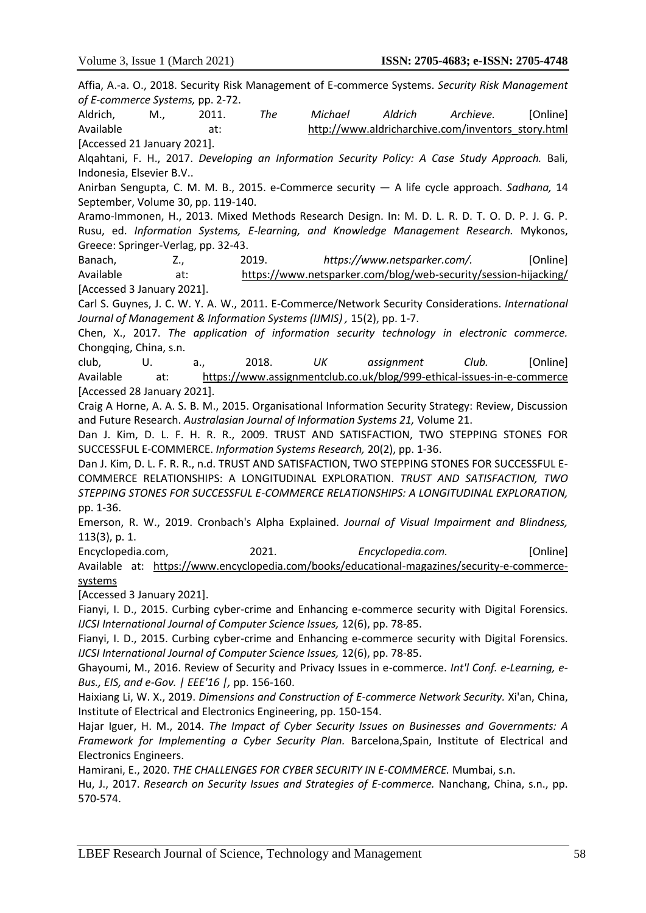Affia, A.-a. O., 2018. Security Risk Management of E-commerce Systems. *Security Risk Management of E-commerce Systems,* pp. 2-72. Aldrich, M., 2011. *The Michael Aldrich Archieve.* [Online] Available at: http://www.aldricharchive.com/inventors\_story.html [Accessed 21 January 2021]. Alqahtani, F. H., 2017. *Developing an Information Security Policy: A Case Study Approach.* Bali, Indonesia, Elsevier B.V.. Anirban Sengupta, C. M. M. B., 2015. e-Commerce security — A life cycle approach. *Sadhana,* 14 September, Volume 30, pp. 119-140. Aramo-Immonen, H., 2013. Mixed Methods Research Design. In: M. D. L. R. D. T. O. D. P. J. G. P. Rusu, ed. *Information Systems, E-learning, and Knowledge Management Research.* Mykonos, Greece: Springer-Verlag, pp. 32-43. Banach, Z., 2019. *https://www.netsparker.com/.* [Online] Available at: https://www.netsparker.com/blog/web-security/session-hijacking/ [Accessed 3 January 2021]. Carl S. Guynes, J. C. W. Y. A. W., 2011. E-Commerce/Network Security Considerations. *International Journal of Management & Information Systems (IJMIS) ,* 15(2), pp. 1-7. Chen, X., 2017. *The application of information security technology in electronic commerce.*  Chongqing, China, s.n. club, U. a., 2018. *UK assignment Club.* [Online] Available at: https://www.assignmentclub.co.uk/blog/999-ethical-issues-in-e-commerce [Accessed 28 January 2021]. Craig A Horne, A. A. S. B. M., 2015. Organisational Information Security Strategy: Review, Discussion and Future Research. *Australasian Journal of Information Systems 21,* Volume 21. Dan J. Kim, D. L. F. H. R. R., 2009. TRUST AND SATISFACTION, TWO STEPPING STONES FOR SUCCESSFUL E-COMMERCE. *Information Systems Research,* 20(2), pp. 1-36. Dan J. Kim, D. L. F. R. R., n.d. TRUST AND SATISFACTION, TWO STEPPING STONES FOR SUCCESSFUL E-COMMERCE RELATIONSHIPS: A LONGITUDINAL EXPLORATION. *TRUST AND SATISFACTION, TWO STEPPING STONES FOR SUCCESSFUL E-COMMERCE RELATIONSHIPS: A LONGITUDINAL EXPLORATION,*  pp. 1-36. Emerson, R. W., 2019. Cronbach's Alpha Explained. *Journal of Visual Impairment and Blindness,*  113(3), p. 1. Encyclopedia.com, 2021. *Encyclopedia.com.* [Online] Available at: https://www.encyclopedia.com/books/educational-magazines/security-e-commercesystems [Accessed 3 January 2021]. Fianyi, I. D., 2015. Curbing cyber-crime and Enhancing e-commerce security with Digital Forensics. *IJCSI International Journal of Computer Science Issues,* 12(6), pp. 78-85. Fianyi, I. D., 2015. Curbing cyber-crime and Enhancing e-commerce security with Digital Forensics. *IJCSI International Journal of Computer Science Issues,* 12(6), pp. 78-85. Ghayoumi, M., 2016. Review of Security and Privacy Issues in e-commerce. *Int'l Conf. e-Learning, e-Bus., EIS, and e-Gov. | EEE'16 |,* pp. 156-160. Haixiang Li, W. X., 2019. *Dimensions and Construction of E-commerce Network Security.* Xi'an, China, Institute of Electrical and Electronics Engineering, pp. 150-154. Hajar Iguer, H. M., 2014. *The Impact of Cyber Security Issues on Businesses and Governments: A Framework for Implementing a Cyber Security Plan.* Barcelona,Spain, Institute of Electrical and Electronics Engineers. Hamirani, E., 2020. *THE CHALLENGES FOR CYBER SECURITY IN E-COMMERCE.* Mumbai, s.n. Hu, J., 2017. *Research on Security Issues and Strategies of E-commerce.* Nanchang, China, s.n., pp. 570-574.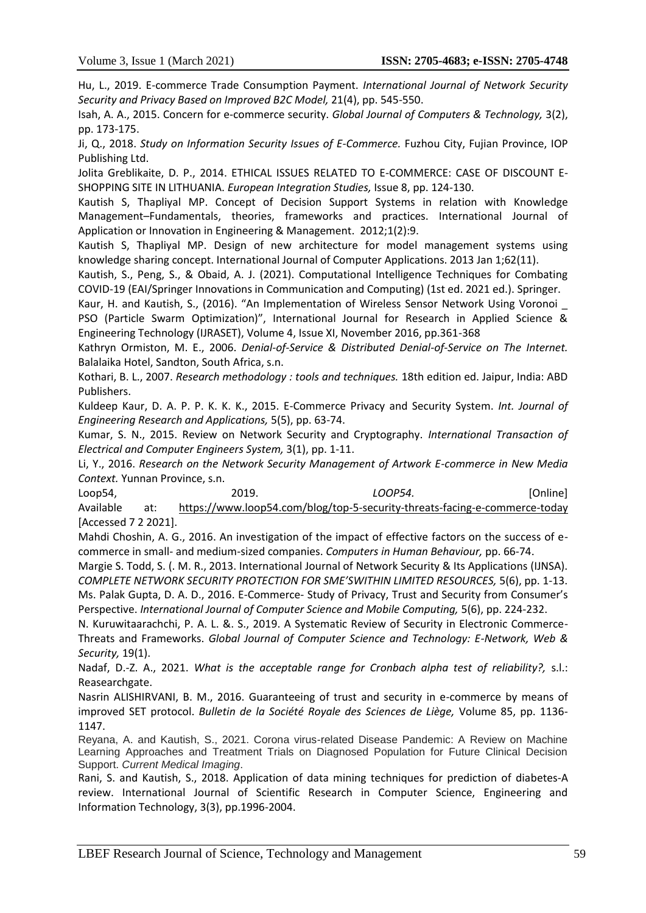Hu, L., 2019. E-commerce Trade Consumption Payment. *International Journal of Network Security Security and Privacy Based on Improved B2C Model,* 21(4), pp. 545-550.

Isah, A. A., 2015. Concern for e-commerce security. *Global Journal of Computers & Technology,* 3(2), pp. 173-175.

Ji, Q., 2018. *Study on Information Security Issues of E-Commerce.* Fuzhou City, Fujian Province, IOP Publishing Ltd.

Jolita Greblikaite, D. P., 2014. ETHICAL ISSUES RELATED TO E-COMMERCE: CASE OF DISCOUNT E-SHOPPING SITE IN LITHUANIA. *European Integration Studies,* Issue 8, pp. 124-130.

Kautish S, Thapliyal MP. Concept of Decision Support Systems in relation with Knowledge Management–Fundamentals, theories, frameworks and practices. International Journal of Application or Innovation in Engineering & Management. 2012;1(2):9.

Kautish S, Thapliyal MP. Design of new architecture for model management systems using knowledge sharing concept. International Journal of Computer Applications. 2013 Jan 1;62(11).

Kautish, S., Peng, S., & Obaid, A. J. (2021). Computational Intelligence Techniques for Combating COVID-19 (EAI/Springer Innovations in Communication and Computing) (1st ed. 2021 ed.). Springer.

Kaur, H. and Kautish, S., (2016). "An Implementation of Wireless Sensor Network Using Voronoi \_ PSO (Particle Swarm Optimization)", International Journal for Research in Applied Science & Engineering Technology (IJRASET), Volume 4, Issue XI, November 2016, pp.361-368

Kathryn Ormiston, M. E., 2006. *Denial-of-Service & Distributed Denial-of-Service on The Internet.*  Balalaika Hotel, Sandton, South Africa, s.n.

Kothari, B. L., 2007. *Research methodology : tools and techniques.* 18th edition ed. Jaipur, India: ABD Publishers.

Kuldeep Kaur, D. A. P. P. K. K. K., 2015. E-Commerce Privacy and Security System. *Int. Journal of Engineering Research and Applications,* 5(5), pp. 63-74.

Kumar, S. N., 2015. Review on Network Security and Cryptography. *International Transaction of Electrical and Computer Engineers System,* 3(1), pp. 1-11.

Li, Y., 2016. *Research on the Network Security Management of Artwork E-commerce in New Media Context.* Yunnan Province, s.n.

Loop54, 2019. *LOOP54.* [Online] Available at: https://www.loop54.com/blog/top-5-security-threats-facing-e-commerce-today [Accessed 7 2 2021].

Mahdi Choshin, A. G., 2016. An investigation of the impact of effective factors on the success of ecommerce in small- and medium-sized companies. *Computers in Human Behaviour,* pp. 66-74.

Margie S. Todd, S. (. M. R., 2013. International Journal of Network Security & Its Applications (IJNSA). *COMPLETE NETWORK SECURITY PROTECTION FOR SME'SWITHIN LIMITED RESOURCES,* 5(6), pp. 1-13. Ms. Palak Gupta, D. A. D., 2016. E-Commerce- Study of Privacy, Trust and Security from Consumer's Perspective. *International Journal of Computer Science and Mobile Computing,* 5(6), pp. 224-232.

N. Kuruwitaarachchi, P. A. L. &. S., 2019. A Systematic Review of Security in Electronic Commerce-Threats and Frameworks. *Global Journal of Computer Science and Technology: E-Network, Web & Security,* 19(1).

Nadaf, D.-Z. A., 2021. *What is the acceptable range for Cronbach alpha test of reliability?,* s.l.: Reasearchgate.

Nasrin ALISHIRVANI, B. M., 2016. Guaranteeing of trust and security in e-commerce by means of improved SET protocol. *Bulletin de la Société Royale des Sciences de Liège,* Volume 85, pp. 1136- 1147.

Reyana, A. and Kautish, S., 2021. Corona virus-related Disease Pandemic: A Review on Machine Learning Approaches and Treatment Trials on Diagnosed Population for Future Clinical Decision Support. *Current Medical Imaging*.

Rani, S. and Kautish, S., 2018. Application of data mining techniques for prediction of diabetes-A review. International Journal of Scientific Research in Computer Science, Engineering and Information Technology, 3(3), pp.1996-2004.